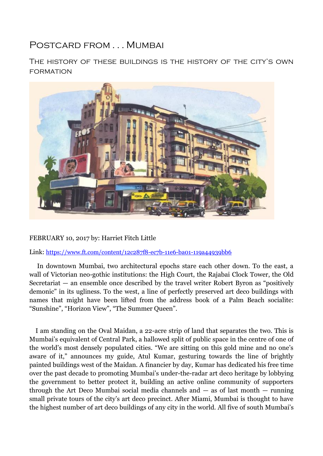## Postcard from . . . Mumbai

The history of these buildings is the history of the city's own formation



## FEBRUARY 10, 2017 by: Harriet Fitch Little

Link: <https://www.ft.com/content/12c287f8-ec7b-11e6-ba01-119a44939bb6>

 In downtown Mumbai, two architectural epochs stare each other down. To the east, a wall of Victorian neo-gothic institutions: the High Court, the Rajabai Clock Tower, the Old Secretariat — an ensemble once described by the travel writer Robert Byron as "positively demonic" in its ugliness. To the west, a line of perfectly preserved art deco buildings with names that might have been lifted from the address book of a Palm Beach socialite: "Sunshine", "Horizon View", "The Summer Queen".

 I am standing on the Oval Maidan, a 22-acre strip of land that separates the two. This is Mumbai's equivalent of Central Park, a hallowed split of public space in the centre of one of the world's most densely populated cities. "We are sitting on this gold mine and no one's aware of it," announces my guide, Atul Kumar, gesturing towards the line of brightly painted buildings west of the Maidan. A financier by day, Kumar has dedicated his free time over the past decade to promoting Mumbai's under-the-radar art deco heritage by lobbying the government to better protect it, building an active online community of supporters through the Art Deco Mumbai social media channels and  $-$  as of last month  $-$  running small private tours of the city's art deco precinct. After Miami, Mumbai is thought to have the highest number of art deco buildings of any city in the world. All five of south Mumbai's